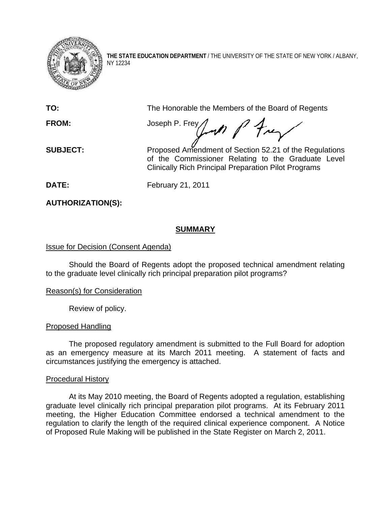

**THE STATE EDUCATION DEPARTMENT** / THE UNIVERSITY OF THE STATE OF NEW YORK / ALBANY, NY 12234

**TO:** The Honorable the Members of the Board of Regents

FROM: Joseph P. Frey June 1 frey

**SUBJECT:** Proposed Amendment of Section 52.21 of the Regulations of the Commissioner Relating to the Graduate Level Clinically Rich Principal Preparation Pilot Programs

**DATE:** February 21, 2011

**AUTHORIZATION(S):** 

## **SUMMARY**

## Issue for Decision (Consent Agenda)

Should the Board of Regents adopt the proposed technical amendment relating to the graduate level clinically rich principal preparation pilot programs?

## Reason(s) for Consideration

Review of policy.

## Proposed Handling

The proposed regulatory amendment is submitted to the Full Board for adoption as an emergency measure at its March 2011 meeting. A statement of facts and circumstances justifying the emergency is attached.

## Procedural History

 At its May 2010 meeting, the Board of Regents adopted a regulation, establishing graduate level clinically rich principal preparation pilot programs. At its February 2011 meeting, the Higher Education Committee endorsed a technical amendment to the regulation to clarify the length of the required clinical experience component. A Notice of Proposed Rule Making will be published in the State Register on March 2, 2011.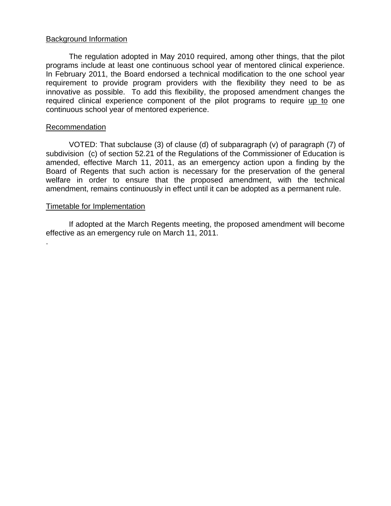#### Background Information

The regulation adopted in May 2010 required, among other things, that the pilot programs include at least one continuous school year of mentored clinical experience. In February 2011, the Board endorsed a technical modification to the one school year requirement to provide program providers with the flexibility they need to be as innovative as possible. To add this flexibility, the proposed amendment changes the required clinical experience component of the pilot programs to require up to one continuous school year of mentored experience.

#### Recommendation

.

VOTED: That subclause (3) of clause (d) of subparagraph (v) of paragraph (7) of subdivision (c) of section 52.21 of the Regulations of the Commissioner of Education is amended, effective March 11, 2011, as an emergency action upon a finding by the Board of Regents that such action is necessary for the preservation of the general welfare in order to ensure that the proposed amendment, with the technical amendment, remains continuously in effect until it can be adopted as a permanent rule.

#### Timetable for Implementation

 If adopted at the March Regents meeting, the proposed amendment will become effective as an emergency rule on March 11, 2011.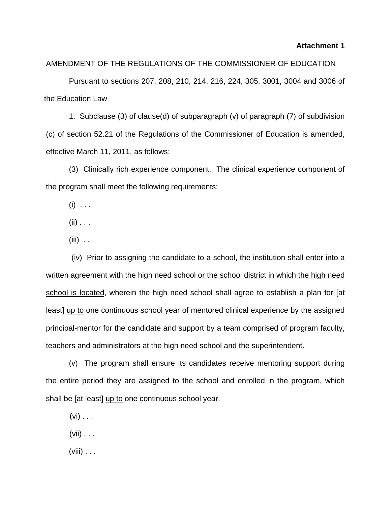#### **Attachment 1**

#### AMENDMENT OF THE REGULATIONS OF THE COMMISSIONER OF EDUCATION

Pursuant to sections 207, 208, 210, 214, 216, 224, 305, 3001, 3004 and 3006 of the Education Law

 1. Subclause (3) of clause(d) of subparagraph (v) of paragraph (7) of subdivision (c) of section 52.21 of the Regulations of the Commissioner of Education is amended, effective March 11, 2011, as follows:

(3) Clinically rich experience component. The clinical experience component of the program shall meet the following requirements:

 $(i) \ldots$ 

 $(ii)$  . . .

 $(iii)$  . . .

 (iv) Prior to assigning the candidate to a school, the institution shall enter into a written agreement with the high need school or the school district in which the high need school is located, wherein the high need school shall agree to establish a plan for [at least] up to one continuous school year of mentored clinical experience by the assigned principal-mentor for the candidate and support by a team comprised of program faculty, teachers and administrators at the high need school and the superintendent.

(v) The program shall ensure its candidates receive mentoring support during the entire period they are assigned to the school and enrolled in the program, which shall be [at least] up to one continuous school year.

 $(vi)$  . . .

 $(vii) \ldots$ 

(viii)  $\ldots$